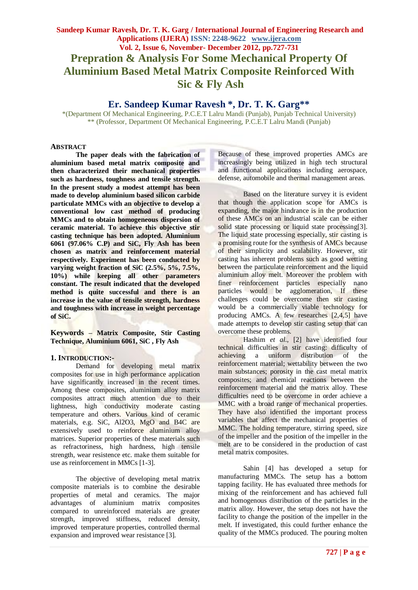# **Sandeep Kumar Ravesh, Dr. T. K. Garg / International Journal of Engineering Research and Applications (IJERA) ISSN: 2248-9622 www.ijera.com Vol. 2, Issue 6, November- December 2012, pp.727-731 Prepration & Analysis For Some Mechanical Property Of Aluminium Based Metal Matrix Composite Reinforced With Sic & Fly Ash**

# **Er. Sandeep Kumar Ravesh \*, Dr. T. K. Garg\*\***

\*(Department Of Mechanical Engineering, P.C.E.T Lalru Mandi (Punjab), Punjab Technical University) \*\* (Professor, Department Of Mechanical Engineering, P.C.E.T Lalru Mandi (Punjab)

#### **ABSTRACT**

**The paper deals with the fabrication of aluminium based metal matrix composite and then characterized their mechanical properties such as hardness, toughness and tensile strength. In the present study a modest attempt has been made to develop aluminium based silicon carbide particulate MMCs with an objective to develop a conventional low cast method of producing MMCs and to obtain homogeneous dispersion of ceramic material. To achieve this objective stir casting technique has been adopted. Aluminium 6061 (97.06% C.P) and SiC, Fly Ash has been chosen as matrix and reinforcement material respectively. Experiment has been conducted by varying weight fraction of SiC (2.5%, 5%, 7.5%, 10%) while keeping all other parameters constant. The result indicated that the developed method is quite successful and there is an increase in the value of tensile strength, hardness and toughness with increase in weight percentage of SiC.**

**Keywords – Matrix Composite, Stir Casting Technique, Aluminium 6061, SiC , Fly Ash**

### **1. INTRODUCTION:-**

Demand for developing metal matrix composites for use in high performance application have significantly increased in the recent times. Among these composites, aluminium alloy matrix composites attract much attention due to their lightness, high conductivity moderate casting temperature and others. Various kind of ceramic materials, e.g. SiC, Al2O3, MgO and B4C are extensively used to reinforce aluminium alloy matrices. Superior properties of these materials such as refractoriness, high hardness, high tensile strength, wear resistence etc. make them suitable for use as reinforcement in MMCs [1-3].

The objective of developing metal matrix composite materials is to combine the desirable properties of metal and ceramics. The major advantages of aluminium matrix composites compared to unreinforced materials are greater strength, improved stiffness, reduced density, improved temperature properties, controlled thermal expansion and improved wear resistance [3].

Because of these improved properties AMCs are increasingly being utilized in high tech structural and functional applications including aerospace, defense, automobile and thermal management areas.

Based on the literature survey it is evident that though the application scope for AMCs is expanding, the major hindrance is in the production of these AMCs on an industrial scale can be either solid state processing or liquid state processing[3]. The liquid state processing especially, stir casting is a promising route for the synthesis of AMCs because of their simplicity and scalability. However, stir casting has inherent problems such as good wetting between the particulate reinforcement and the liquid aluminium alloy melt. Moreover the problem with finer reinforcement particles especially nano particles would be agglomeration, If these challenges could be overcome then stir casting would be a commercially viable technology for producing AMCs. A few researches [2,4,5] have made attempts to develop stir casting setup that can overcome these problems.

Hashim *et al*., [2] have identified four technical difficulties in stir casting: difficulty of achieving a uniform distribution of the reinforcement material; wettability between the two main substances; porosity in the cast metal matrix composites; and chemical reactions between the reinforcement material and the matrix alloy. These difficulties need to be overcome in order achieve a MMC with a broad range of mechanical properties. They have also identified the important process variables that affect the mechanical properties of MMC. The holding temperature, stirring speed, size of the impeller and the position of the impeller in the melt are to be considered in the production of cast metal matrix composites.

Sahin [4] has developed a setup for manufacturing MMCs. The setup has a bottom tapping facility. He has evaluated three methods for mixing of the reinforcement and has achieved full and homogenous distribution of the particles in the matrix alloy. However, the setup does not have the facility to change the position of the impeller in the melt. If investigated, this could further enhance the quality of the MMCs produced. The pouring molten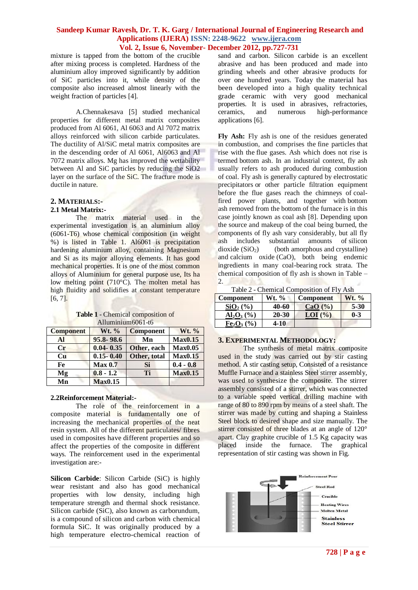mixture is tapped from the bottom of the crucible after mixing process is completed. Hardness of the aluminium alloy improved significantly by addition of SiC particles into it, while density of the composite also increased almost linearly with the weight fraction of particles [4].

A.Chennakesava [5] studied mechanical properties for different metal matrix composites produced from Al 6061, Al 6063 and Al 7072 matrix alloys reinforced with silicon carbide particulates. The ductility of Al/SiC metal matrix composites are in the descending order of Al 6061, Al6063 and Al 7072 matrix alloys. Mg has improved the wettability between Al and SiC particles by reducing the SiO2 layer on the surface of the SiC. The fracture mode is ductile in nature.

## **2. MATERIALS:-**

#### **2.1 Metal Matrix:-**

The matrix material used in the experimental investigation is an aluminium alloy (6061-T6) whose chemical composition (in weight %) is listed in Table 1. Al6061 is precipitation hardening aluminium alloy, containing Magnesium and Si as its major alloying elements. It has good mechanical properties. It is one of the most common alloys of Aluminium for general purpose use, Its ha low melting point (710°C). The molten metal has high fluidity and solidifies at constant temperature [6, 7].

| <b>Table 1</b> - Chemical composition of |
|------------------------------------------|
| Alluminium 6061-t6                       |

| <b>Component</b> | Wt. %          | <b>Component</b> | Wt. %          |
|------------------|----------------|------------------|----------------|
| Al               | 95.8-98.6      | Mn               | <b>Max0.15</b> |
| $C_{r}$          | $0.04 - 0.35$  | Other, each      | <b>Max0.05</b> |
| Cu               | $0.15 - 0.40$  | Other, total     | <b>Max0.15</b> |
| Fe               | <b>Max 0.7</b> | Si               | $0.4 - 0.8$    |
| Mg               | $0.8 - 1.2$    | Ti               | <b>Max0.15</b> |
| Mn               | <b>Max0.15</b> |                  |                |

#### **2.2Reinforcement Material:-**

The role of the reinforcement in a composite material is fundamentally one of increasing the mechanical properties of the neat resin system. All of the different particulates/ fibres used in composites have different properties and so affect the properties of the composite in different ways. The reinforcement used in the experimental investigation are:-

**Silicon Carbide**: Silicon Carbide (SiC) is highly wear resistant and also has good mechanical properties with low density, including high temperature strength and thermal shock resistance. Silicon carbide (SiC), also known as carborundum, is a compound of silicon and carbon with chemical formula SiC. It was originally produced by a high temperature electro-chemical reaction of

sand and carbon. Silicon carbide is an excellent abrasive and has been produced and made into grinding wheels and other abrasive products for over one hundred years. Today the material has been developed into a high quality technical grade ceramic with very good mechanical properties. It is used in abrasives, refractories, ceramics, and numerous high-performance applications [6].

**Fly Ash:** Fly ash is one of the residues generated in [combustion,](http://en.wikipedia.org/wiki/Combustion) and comprises the [fine particles](http://en.wikipedia.org/wiki/Fine_particle) that rise with the [flue gases.](http://en.wikipedia.org/wiki/Flue_gas) Ash which does not rise is termed [bottom ash.](http://en.wikipedia.org/wiki/Bottom_ash) In an industrial context, fly ash usually refers to ash produced during combustion of [coal.](http://en.wikipedia.org/wiki/Coal) Fly ash is generally captured by [electrostatic](http://en.wikipedia.org/wiki/Electrostatic_precipitators)  [precipitators](http://en.wikipedia.org/wiki/Electrostatic_precipitators) or other particle filtration equipment before the flue gases reach the chimneys of [coal](http://en.wikipedia.org/wiki/Fossil_fuel_power_plant)[fired power plants,](http://en.wikipedia.org/wiki/Fossil_fuel_power_plant) and together with [bottom](http://en.wikipedia.org/wiki/Bottom_ash)  [ash](http://en.wikipedia.org/wiki/Bottom_ash) removed from the bottom of the furnace is in this case jointly known as coal ash [8]. Depending upon the source and makeup of the coal being burned, the components of fly ash vary considerably, but all fly ash includes substantial amounts of [silicon](http://en.wikipedia.org/wiki/Silicon_dioxide)   $dioxide (SiO<sub>2</sub>)$  $dioxide (SiO<sub>2</sub>)$  (both [amorphous](http://en.wikipedia.org/wiki/Amorphous) and [crystalline\)](http://en.wikipedia.org/wiki/Crystalline) and [calcium oxide](http://en.wikipedia.org/wiki/Calcium_oxide) (CaO), both being endemic ingredients in many coal-bearing [rock strata.](http://en.wikipedia.org/wiki/Stratum) The chemical composition of fly ash is shown in Table – ぶふう **In** 2.

|  |  | Table 2 - Chemical Composition of Fly Ash |  |
|--|--|-------------------------------------------|--|
|--|--|-------------------------------------------|--|

| <b>Component</b>                                | Wt. % | <b>Component</b> | <b>Wt.</b> % |  |
|-------------------------------------------------|-------|------------------|--------------|--|
| $SiO2(\%)$                                      | 40-60 | CaO $(\% )$      | $5 - 30$     |  |
| $\text{Al}_2\text{O}_3\left(\frac{9}{6}\right)$ | 20-30 | $LOI$ $(\% )$    | $0 - 3$      |  |
| $Fe2O3(\%)$                                     | 4-10  |                  |              |  |

#### **3. EXPERIMENTAL METHODOLOGY:**

The synthesis of metal matrix composite used in the study was carried out by stir casting method. A stir casting setup, Consisted of a resistance Muffle Furnace and a stainless Steel stirrer assembly, was used to synthesize the composite. The stirrer assembly consisted of a stirrer, which was connected to a variable speed vertical drilling machine with range of 80 to 890 rpm by means of a steel shaft. The stirrer was made by cutting and shaping a Stainless Steel block to desired shape and size manually. The stirrer consisted of three blades at an angle of 120° apart. Clay graphite crucible of 1.5 Kg capacity was placed inside the furnace. The graphical representation of stir casting was shown in Fig.

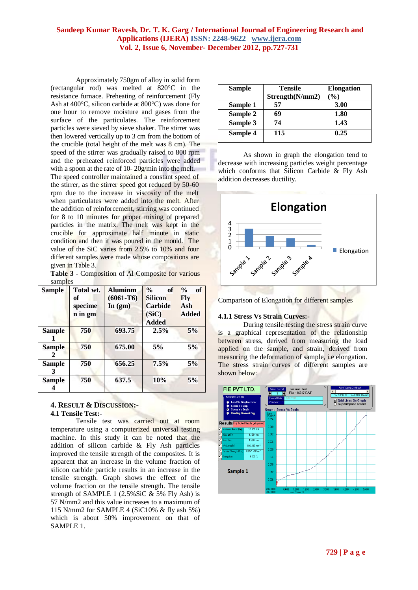Approximately 750gm of alloy in solid form (rectangular rod) was melted at 820°C in the resistance furnace. Preheating of reinforcement (Fly Ash at 400°C, silicon carbide at 800°C) was done for one hour to remove moisture and gases from the surface of the particulates. The reinforcement particles were sieved by sieve shaker. The stirrer was then lowered vertically up to 3 cm from the bottom of the crucible (total height of the melt was 8 cm). The speed of the stirrer was gradually raised to 800 rpm and the preheated reinforced particles were added with a spoon at the rate of 10- 20g/min into the melt.

The speed controller maintained a constant speed of the stirrer, as the stirrer speed got reduced by 50-60 rpm due to the increase in viscosity of the melt when particulates were added into the melt. After the addition of reinforcement, stirring was continued for 8 to 10 minutes for proper mixing of prepared particles in the matrix. The melt was kept in the crucible for approximate half minute in static condition and then it was poured in the mould. The value of the SiC varies from 2.5% to 10% and four different samples were made whose compositions are given in Table 3.

**Table 3 -** Composition of Al Composite for various samples

| Sample        | Total wt.<br>of<br>specime<br>n in gm | <b>Aluminm</b><br>$(6061-T6)$<br>In $(gm)$ | $\frac{0}{0}$<br>of<br><b>Silicon</b><br>Carbide<br>(SiC) | $\frac{0}{0}$<br>of<br><b>F</b> lv<br>Ash<br><b>Added</b> |
|---------------|---------------------------------------|--------------------------------------------|-----------------------------------------------------------|-----------------------------------------------------------|
|               |                                       |                                            | <b>Added</b>                                              |                                                           |
| <b>Sample</b> | 750                                   | 693.75                                     | 2.5%                                                      | 5%                                                        |
| <b>Sample</b> | 750                                   | 675.00                                     | 5%                                                        | 5%                                                        |
| Sample        | 750                                   | 656.25                                     | 7.5%                                                      | 5%                                                        |
| Sample        | 750                                   | 637.5                                      | 10%                                                       | 5%                                                        |

## **4. RESULT & DISCUSSION:- 4.1 Tensile Test:-**

Tensile test was carried out at room temperature using a computerized universal testing machine. In this study it can be noted that the addition of silicon carbide & Fly Ash particles improved the tensile strength of the composites. It is apparent that an increase in the volume fraction of silicon carbide particle results in an increase in the tensile strength. Graph shows the effect of the volume fraction on the tensile strength. The tensile strength of SAMPLE 1 (2.5%SiC & 5% Fly Ash) is 57 N/mm2 and this value increases to a maximum of 115 N/mm2 for SAMPLE 4 (SiC10% & fly ash 5%) which is about 50% improvement on that of SAMPLE 1.

| <b>Sample</b> | <b>Tensile</b><br>Strength(N/mm2) | <b>Elongation</b><br>$\frac{9}{0}$ |
|---------------|-----------------------------------|------------------------------------|
| Sample 1      | 57                                | 3.00                               |
| Sample 2      | 69                                | 1.80                               |
| Sample 3      | 74                                | 1.43                               |
| Sample 4      | 115                               | 0.25                               |

As shown in graph the elongation tend to decrease with increasing particles weight percentage which conforms that Silicon Carbide & Fly Ash addition decreases ductility.





## **4.1.1 Stress Vs Strain Curves:-**

During tensile testing the stress strain curve is a graphical representation of the relationship between stress, derived from measuring the load applied on the sample, and strain, derived from measuring the deformation of sample, i.e elongation. The stress strain curves of different samples are shown below:

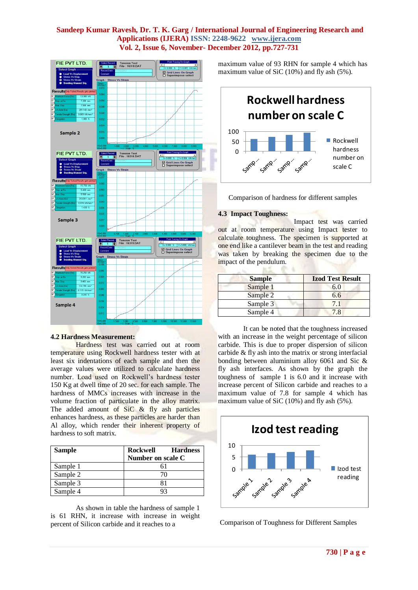

#### **4.2 Hardness Measurement:**

Hardness test was carried out at room temperature using Rockwell hardness tester with at least six indentations of each sample and then the average values were utilized to calculate hardness number. Load used on Rockwell's hardness tester 150 Kg at dwell time of 20 sec. for each sample. The hardness of MMCs increases with increase in the volume fraction of particulate in the alloy matrix. The added amount of SiC & fly ash particles enhances hardness, as these particles are harder than Al alloy, which render their inherent property of hardness to soft matrix.

| <b>Sample</b> | <b>Rockwell</b><br><b>Hardness</b> |
|---------------|------------------------------------|
|               | Number on scale C                  |
| Sample 1      |                                    |
| Sample 2      | 70                                 |
| Sample 3      |                                    |
| Sample 4      |                                    |

As shown in table the hardness of sample 1 is 61 RHN, it increase with increase in weight percent of Silicon carbide and it reaches to a

maximum value of 93 RHN for sample 4 which has maximum value of SiC (10%) and fly ash (5%).



Comparison of hardness for different samples

#### **4.3 Impact Toughness:**

Impact test was carried out at room temperature using Impact tester to calculate toughness. The specimen is supported at one end like a cantilever beam in the test and reading was taken by breaking the specimen due to the impact of the pendulum.  $31 -$ **IP** 

| <b>Sample</b> | <b>Izod Test Result</b> |
|---------------|-------------------------|
| Sample 1      | 6.0                     |
| Sample 2      | 6.6                     |
| Sample 3      | 71                      |
| Sample 4      | 78                      |

It can be noted that the toughness increased with an increase in the weight percentage of silicon carbide. This is due to proper dispersion of silicon carbide & fly ash into the matrix or strong interfacial bonding between aluminium alloy 6061 and Sic & fly ash interfaces. As shown by the graph the toughness of sample 1 is 6.0 and it increase with increase percent of Silicon carbide and reaches to a maximum value of 7.8 for sample 4 which has maximum value of SiC (10%) and fly ash (5%).



Comparison of Toughness for Different Samples